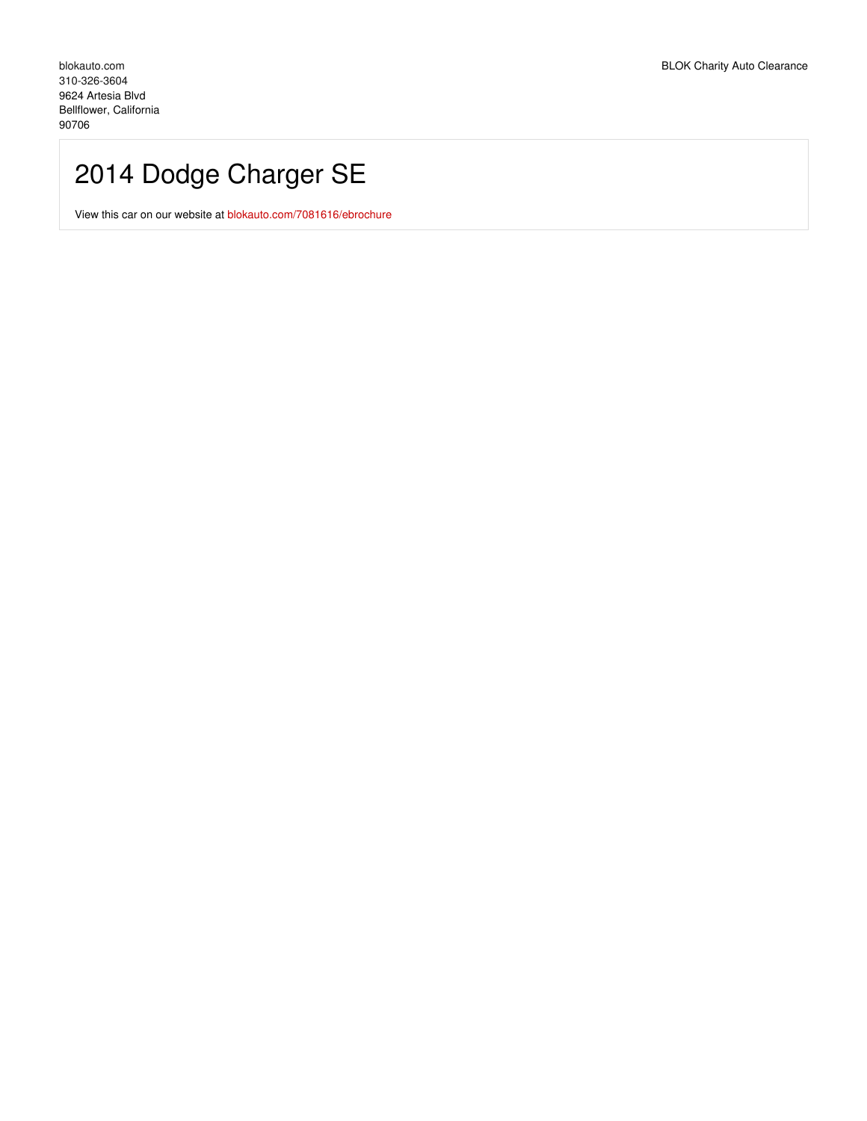# 2014 Dodge Charger SE

View this car on our website at [blokauto.com/7081616/ebrochure](https://blokauto.com/vehicle/7081616/2014-dodge-charger-se-bellflower-california-90706/7081616/ebrochure)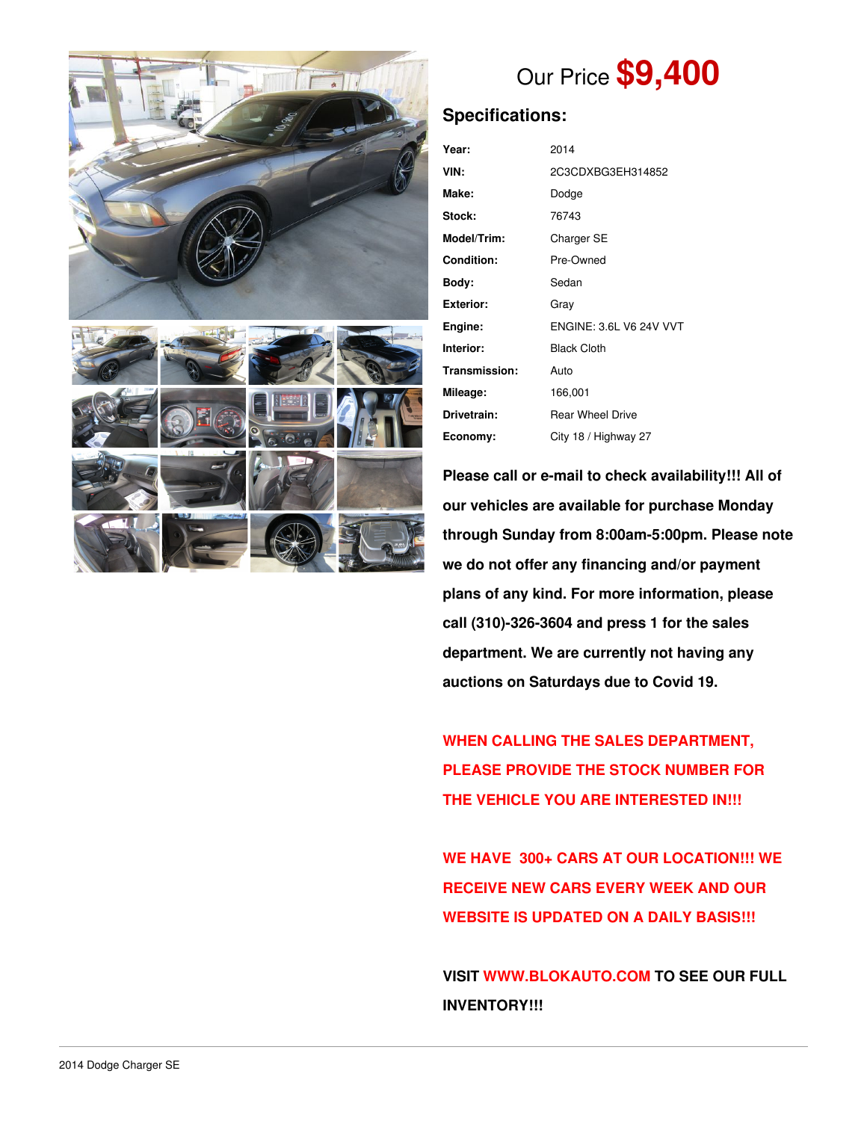



## Our Price **\$9,400**

### **Specifications:**

| Year:             | 2014                           |  |  |
|-------------------|--------------------------------|--|--|
| VIN:              | 2C3CDXBG3EH314852              |  |  |
| Make:             | Dodge                          |  |  |
| Stock:            | 76743                          |  |  |
| Model/Trim:       | Charger SE                     |  |  |
| <b>Condition:</b> | Pre-Owned                      |  |  |
| Bodv:             | Sedan                          |  |  |
| <b>Exterior:</b>  | Gray                           |  |  |
| Engine:           | <b>ENGINE: 3.6L V6 24V VVT</b> |  |  |
| Interior:         | <b>Black Cloth</b>             |  |  |
| Transmission:     | Auto                           |  |  |
| Mileage:          | 166,001                        |  |  |
| Drivetrain:       | <b>Rear Wheel Drive</b>        |  |  |
| Economy:          | City 18 / Highway 27           |  |  |

**Please call or e-mail to check availability!!! All of our vehicles are available for purchase Monday through Sunday from 8:00am-5:00pm. Please note we do not offer any financing and/or payment plans of any kind. For more information, please call (310)-326-3604 and press 1 for the sales department. We are currently not having any auctions on Saturdays due to Covid 19.**

**WHEN CALLING THE SALES DEPARTMENT, PLEASE PROVIDE THE STOCK NUMBER FOR THE VEHICLE YOU ARE INTERESTED IN!!!**

**WE HAVE 300+ CARS AT OUR LOCATION!!! WE RECEIVE NEW CARS EVERY WEEK AND OUR WEBSITE IS UPDATED ON A DAILY BASIS!!!**

**VISIT [WWW.BLOKAUTO.COM](http://www.blockauto.com) TO SEE OUR FULL INVENTORY!!!**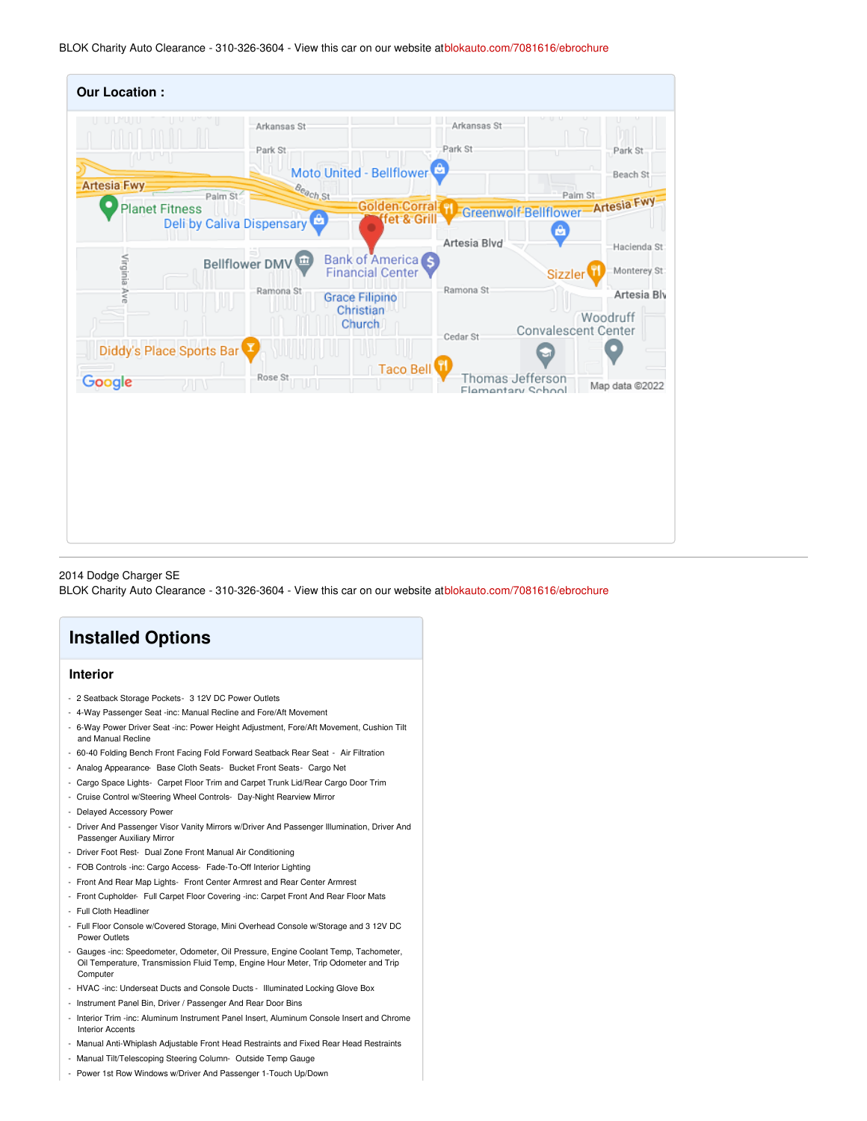BLOK Charity Auto Clearance - 310-326-3604 - View this car on our website at[blokauto.com/7081616/ebrochure](https://blokauto.com/vehicle/7081616/2014-dodge-charger-se-bellflower-california-90706/7081616/ebrochure)

| <b>Our Location:</b>                        |                                                    |                                                                                |                              |                                                                                        |
|---------------------------------------------|----------------------------------------------------|--------------------------------------------------------------------------------|------------------------------|----------------------------------------------------------------------------------------|
| <b>Artesia Fwy</b><br><b>Planet Fitness</b> | Arkansas St<br>Park St<br>Beach St<br>Palm St      | Moto United - Bellflower<br>Golden Corral H                                    | Arkansas St<br>Park St       | Park St<br>T<br>Beach St<br>Palm St<br>Greenwolf-Bellflower-Artesia Fwy                |
|                                             | <b>Deli by Caliva Dispensary</b><br>Bellflower DMV | fet & Grill<br>Bank of America <sup>S</sup>                                    | Artesia Blvd                 | A<br>Hacienda St                                                                       |
| Virginia Ave                                | Ramona St                                          | <b>Financial Center</b><br><b>Grace Filipino</b><br>Christian<br><b>Church</b> | Ramona St                    | Monterey St<br><b>Sizzler</b><br>Artesia Blv<br>Woodruff<br><b>Convalescent Center</b> |
| Diddy's Place Sports Bar                    | Rose St                                            | Taco Bell                                                                      | Cedar St<br>Thomas Jefferson |                                                                                        |
| Google                                      | w<br>ЛN                                            |                                                                                | Flamentary School            | Map data @2022                                                                         |
|                                             |                                                    |                                                                                |                              |                                                                                        |

2014 Dodge Charger SE

BLOK Charity Auto Clearance - 310-326-3604 - View this car on our website at[blokauto.com/7081616/ebrochure](https://blokauto.com/vehicle/7081616/2014-dodge-charger-se-bellflower-california-90706/7081616/ebrochure)

### **Installed Options**

#### **Interior**

- 2 Seatback Storage Pockets- 3 12V DC Power Outlets
- 4-Way Passenger Seat -inc: Manual Recline and Fore/Aft Movement
- 6-Way Power Driver Seat -inc: Power Height Adjustment, Fore/Aft Movement, Cushion Tilt and Manual Recline
- 60-40 Folding Bench Front Facing Fold Forward Seatback Rear Seat Air Filtration
- Analog Appearance- Base Cloth Seats- Bucket Front Seats- Cargo Net
- Cargo Space Lights- Carpet Floor Trim and Carpet Trunk Lid/Rear Cargo Door Trim
- Cruise Control w/Steering Wheel Controls- Day-Night Rearview Mirror
- Delayed Accessory Power
- Driver And Passenger Visor Vanity Mirrors w/Driver And Passenger Illumination, Driver And Passenger Auxiliary Mirror
- Driver Foot Rest- Dual Zone Front Manual Air Conditioning
- FOB Controls -inc: Cargo Access- Fade-To-Off Interior Lighting
- Front And Rear Map Lights- Front Center Armrest and Rear Center Armrest
- Front Cupholder- Full Carpet Floor Covering -inc: Carpet Front And Rear Floor Mats - Full Cloth Headliner
- Full Floor Console w/Covered Storage, Mini Overhead Console w/Storage and 3 12V DC Power Outlets
- Gauges -inc: Speedometer, Odometer, Oil Pressure, Engine Coolant Temp, Tachometer, Oil Temperature, Transmission Fluid Temp, Engine Hour Meter, Trip Odometer and Trip Computer
- HVAC -inc: Underseat Ducts and Console Ducts Illuminated Locking Glove Box
- Instrument Panel Bin, Driver / Passenger And Rear Door Bins
- Interior Trim -inc: Aluminum Instrument Panel Insert, Aluminum Console Insert and Chrome Interior Accents
- Manual Anti-Whiplash Adjustable Front Head Restraints and Fixed Rear Head Restraints
- Manual Tilt/Telescoping Steering Column- Outside Temp Gauge
- Power 1st Row Windows w/Driver And Passenger 1-Touch Up/Down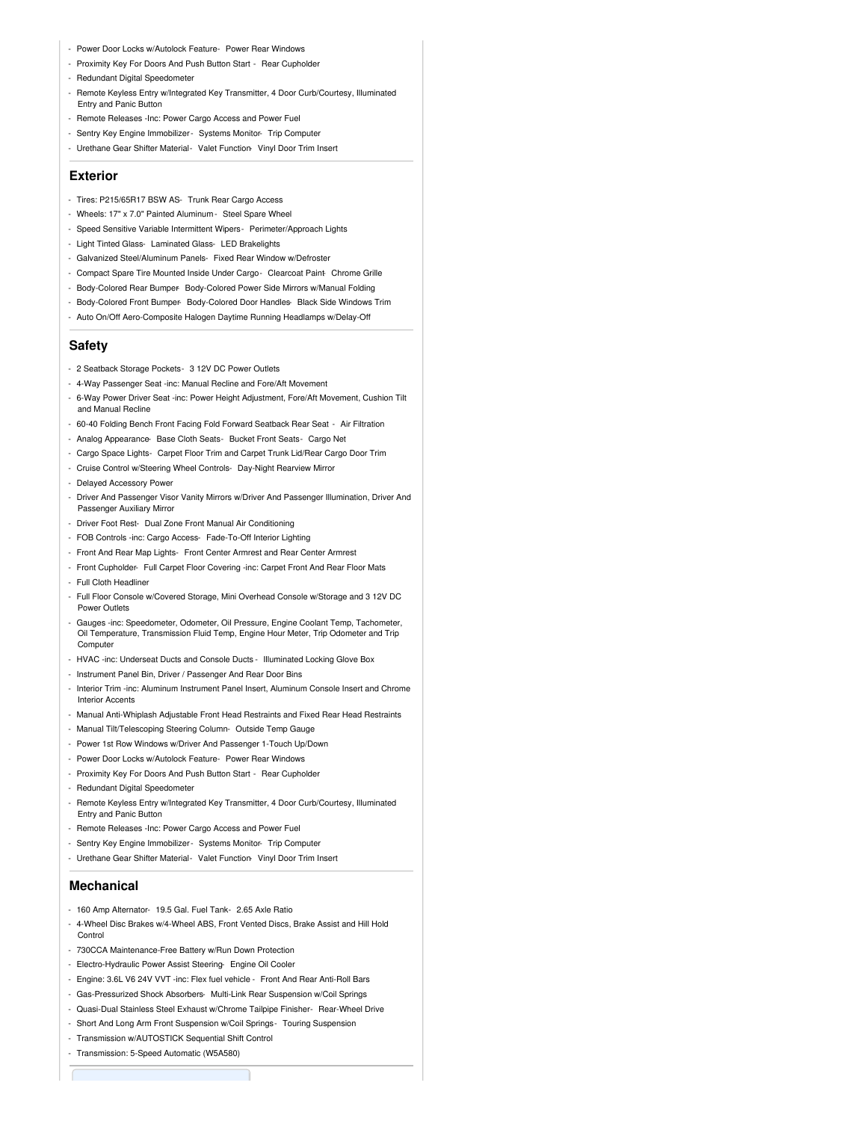- Power Door Locks w/Autolock Feature- Power Rear Windows
- Proximity Key For Doors And Push Button Start Rear Cupholder
- Redundant Digital Speedometer
- Remote Keyless Entry w/Integrated Key Transmitter, 4 Door Curb/Courtesy, Illuminated Entry and Panic Button
- Remote Releases -Inc: Power Cargo Access and Power Fuel
- Sentry Key Engine Immobilizer- Systems Monitor- Trip Computer
- Urethane Gear Shifter Material- Valet Function- Vinyl Door Trim Insert

#### **Exterior**

- Tires: P215/65R17 BSW AS- Trunk Rear Cargo Access
- Wheels: 17" x 7.0" Painted Aluminum Steel Spare Wheel
- Speed Sensitive Variable Intermittent Wipers- Perimeter/Approach Lights
- Light Tinted Glass- Laminated Glass- LED Brakelights
- Galvanized Steel/Aluminum Panels- Fixed Rear Window w/Defroster
- Compact Spare Tire Mounted Inside Under Cargo- Clearcoat Paint- Chrome Grille
- Body-Colored Rear Bumper- Body-Colored Power Side Mirrors w/Manual Folding
- Body-Colored Front Bumper- Body-Colored Door Handles- Black Side Windows Trim
- Auto On/Off Aero-Composite Halogen Daytime Running Headlamps w/Delay-Off

#### **Safety**

- 2 Seatback Storage Pockets- 3 12V DC Power Outlets
- 4-Way Passenger Seat -inc: Manual Recline and Fore/Aft Movement
- 6-Way Power Driver Seat -inc: Power Height Adjustment, Fore/Aft Movement, Cushion Tilt and Manual Recline
- 60-40 Folding Bench Front Facing Fold Forward Seatback Rear Seat Air Filtration
- Analog Appearance- Base Cloth Seats- Bucket Front Seats- Cargo Net
- Cargo Space Lights- Carpet Floor Trim and Carpet Trunk Lid/Rear Cargo Door Trim
- Cruise Control w/Steering Wheel Controls- Day-Night Rearview Mirror
- Delayed Accessory Power
- Driver And Passenger Visor Vanity Mirrors w/Driver And Passenger Illumination, Driver And Passenger Auxiliary Mirror
- Driver Foot Rest- Dual Zone Front Manual Air Conditioning
- FOB Controls -inc: Cargo Access- Fade-To-Off Interior Lighting
- Front And Rear Map Lights- Front Center Armrest and Rear Center Armrest
- Front Cupholder- Full Carpet Floor Covering -inc: Carpet Front And Rear Floor Mats
- Full Cloth Headliner
- Full Floor Console w/Covered Storage, Mini Overhead Console w/Storage and 3 12V DC Power Outlets
- Gauges -inc: Speedometer, Odometer, Oil Pressure, Engine Coolant Temp, Tachometer, Oil Temperature, Transmission Fluid Temp, Engine Hour Meter, Trip Odometer and Trip **Computer**
- HVAC -inc: Underseat Ducts and Console Ducts Illuminated Locking Glove Box
- Instrument Panel Bin, Driver / Passenger And Rear Door Bins
- Interior Trim -inc: Aluminum Instrument Panel Insert, Aluminum Console Insert and Chrome Interior Accents
- Manual Anti-Whiplash Adjustable Front Head Restraints and Fixed Rear Head Restraints
- Manual Tilt/Telescoping Steering Column- Outside Temp Gauge
- Power 1st Row Windows w/Driver And Passenger 1-Touch Up/Down
- Power Door Locks w/Autolock Feature- Power Rear Windows
- Proximity Key For Doors And Push Button Start Rear Cupholder
- Redundant Digital Speedometer
- Remote Keyless Entry w/Integrated Key Transmitter, 4 Door Curb/Courtesy, Illuminated Entry and Panic Button
- Remote Releases -Inc: Power Cargo Access and Power Fuel
- Sentry Key Engine Immobilizer Systems Monitor- Trip Computer
- Urethane Gear Shifter Material- Valet Function- Vinyl Door Trim Insert

#### **Mechanical**

- 160 Amp Alternator- 19.5 Gal. Fuel Tank- 2.65 Axle Ratio
- 4-Wheel Disc Brakes w/4-Wheel ABS, Front Vented Discs, Brake Assist and Hill Hold Control
- 730CCA Maintenance-Free Battery w/Run Down Protection
- Electro-Hydraulic Power Assist Steering- Engine Oil Cooler
- Engine: 3.6L V6 24V VVT -inc: Flex fuel vehicle Front And Rear Anti-Roll Bars
- Gas-Pressurized Shock Absorbers- Multi-Link Rear Suspension w/Coil Springs
- Quasi-Dual Stainless Steel Exhaust w/Chrome Tailpipe Finisher- Rear-Wheel Drive
- Short And Long Arm Front Suspension w/Coil Springs- Touring Suspension
- Transmission w/AUTOSTICK Sequential Shift Control
- Transmission: 5-Speed Automatic (W5A580)